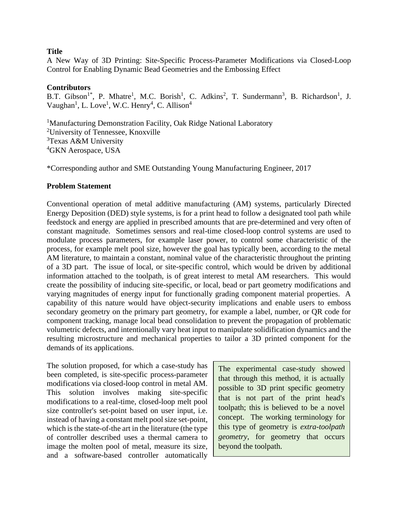### **Title**

A New Way of 3D Printing: Site-Specific Process-Parameter Modifications via Closed-Loop Control for Enabling Dynamic Bead Geometries and the Embossing Effect

### **Contributors**

B.T. Gibson<sup>1\*</sup>, P. Mhatre<sup>1</sup>, M.C. Borish<sup>1</sup>, C. Adkins<sup>2</sup>, T. Sundermann<sup>3</sup>, B. Richardson<sup>1</sup>, J. Vaughan<sup>1</sup>, L. Love<sup>1</sup>, W.C. Henry<sup>4</sup>, C. Allison<sup>4</sup>

<sup>1</sup>Manufacturing Demonstration Facility, Oak Ridge National Laboratory University of Tennessee, Knoxville Texas A&M University GKN Aerospace, USA

\*Corresponding author and SME Outstanding Young Manufacturing Engineer, 2017

### **Problem Statement**

Conventional operation of metal additive manufacturing (AM) systems, particularly Directed Energy Deposition (DED) style systems, is for a print head to follow a designated tool path while feedstock and energy are applied in prescribed amounts that are pre-determined and very often of constant magnitude. Sometimes sensors and real-time closed-loop control systems are used to modulate process parameters, for example laser power, to control some characteristic of the process, for example melt pool size, however the goal has typically been, according to the metal AM literature, to maintain a constant, nominal value of the characteristic throughout the printing of a 3D part. The issue of local, or site-specific control, which would be driven by additional information attached to the toolpath, is of great interest to metal AM researchers. This would create the possibility of inducing site-specific, or local, bead or part geometry modifications and varying magnitudes of energy input for functionally grading component material properties. A capability of this nature would have object-security implications and enable users to emboss secondary geometry on the primary part geometry, for example a label, number, or QR code for component tracking, manage local bead consolidation to prevent the propagation of problematic volumetric defects, and intentionally vary heat input to manipulate solidification dynamics and the resulting microstructure and mechanical properties to tailor a 3D printed component for the demands of its applications.

The solution proposed, for which a case-study has been completed, is site-specific process-parameter modifications via closed-loop control in metal AM. This solution involves making site-specific modifications to a real-time, closed-loop melt pool size controller's set-point based on user input, i.e. instead of having a constant melt pool size set-point, which is the state-of-the art in the literature (the type of controller described uses a thermal camera to image the molten pool of metal, measure its size, and a software-based controller automatically

The experimental case-study showed that through this method, it is actually possible to 3D print specific geometry that is not part of the print head's toolpath; this is believed to be a novel concept. The working terminology for this type of geometry is *extra-toolpath geometry*, for geometry that occurs beyond the toolpath.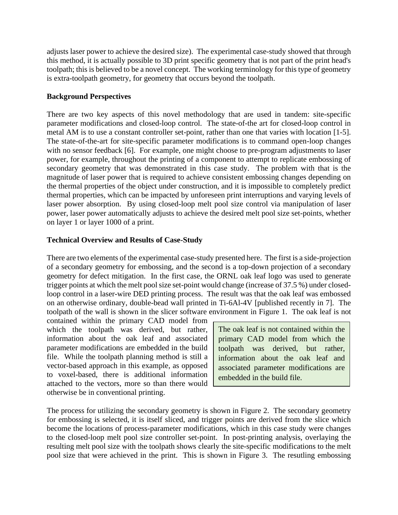adjusts laser power to achieve the desired size). The experimental case-study showed that through this method, it is actually possible to 3D print specific geometry that is not part of the print head's toolpath; this is believed to be a novel concept. The working terminology for this type of geometry is extra-toolpath geometry, for geometry that occurs beyond the toolpath.

### **Background Perspectives**

There are two key aspects of this novel methodology that are used in tandem: site-specific parameter modifications and closed-loop control. The state-of-the art for closed-loop control in metal AM is to use a constant controller set-point, rather than one that varies with location [1-5]. The state-of-the-art for site-specific parameter modifications is to command open-loop changes with no sensor feedback [6]. For example, one might choose to pre-program adjustments to laser power, for example, throughout the printing of a component to attempt to replicate embossing of secondary geometry that was demonstrated in this case study. The problem with that is the magnitude of laser power that is required to achieve consistent embossing changes depending on the thermal properties of the object under construction, and it is impossible to completely predict thermal properties, which can be impacted by unforeseen print interruptions and varying levels of laser power absorption. By using closed-loop melt pool size control via manipulation of laser power, laser power automatically adjusts to achieve the desired melt pool size set-points, whether on layer 1 or layer 1000 of a print.

## **Technical Overview and Results of Case-Study**

There are two elements of the experimental case-study presented here. The first is a side-projection of a secondary geometry for embossing, and the second is a top-down projection of a secondary geometry for defect mitigation. In the first case, the ORNL oak leaf logo was used to generate trigger points at which the melt pool size set-point would change (increase of 37.5 %) under closedloop control in a laser-wire DED printing process. The result was that the oak leaf was embossed on an otherwise ordinary, double-bead wall printed in Ti-6Al-4V [published recently in 7]. The toolpath of the wall is shown in the slicer software environment in Figure 1. The oak leaf is not

contained within the primary CAD model from which the toolpath was derived, but rather, information about the oak leaf and associated parameter modifications are embedded in the build file. While the toolpath planning method is still a vector-based approach in this example, as opposed to voxel-based, there is additional information attached to the vectors, more so than there would otherwise be in conventional printing.

The oak leaf is not contained within the primary CAD model from which the toolpath was derived, but rather, information about the oak leaf and associated parameter modifications are embedded in the build file.

The process for utilizing the secondary geometry is shown in Figure 2. The secondary geometry for embossing is selected, it is itself sliced, and trigger points are derived from the slice which become the locations of process-parameter modifications, which in this case study were changes to the closed-loop melt pool size controller set-point. In post-printing analysis, overlaying the resulting melt pool size with the toolpath shows clearly the site-specific modifications to the melt pool size that were achieved in the print. This is shown in Figure 3. The resutling embossing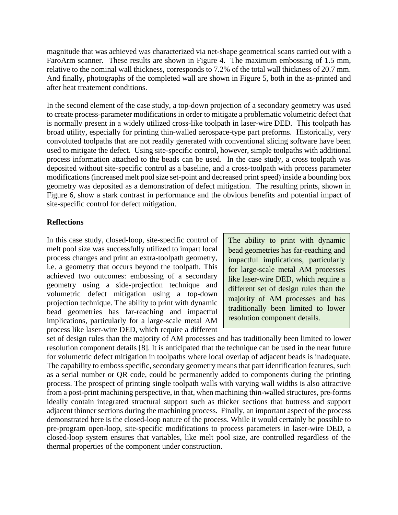magnitude that was achieved was characterized via net-shape geometrical scans carried out with a FaroArm scanner. These results are shown in Figure 4. The maximum embossing of 1.5 mm, relative to the nominal wall thickness, corresponds to 7.2% of the total wall thickness of 20.7 mm. And finally, photographs of the completed wall are shown in Figure 5, both in the as-printed and after heat treatement conditions.

In the second element of the case study, a top-down projection of a secondary geometry was used to create process-parameter modifications in order to mitigate a problematic volumetric defect that is normally present in a widely utilized cross-like toolpath in laser-wire DED. This toolpath has broad utility, especially for printing thin-walled aerospace-type part preforms. Historically, very convoluted toolpaths that are not readily generated with conventional slicing software have been used to mitigate the defect. Using site-specific control, however, simple toolpaths with additional process information attached to the beads can be used. In the case study, a cross toolpath was deposited without site-specific control as a baseline, and a cross-toolpath with process parameter modifications (increased melt pool size set-point and decreased print speed) inside a bounding box geometry was deposited as a demonstration of defect mitigation. The resulting prints, shown in Figure 6, show a stark contrast in performance and the obvious benefits and potential impact of site-specific control for defect mitigation.

### **Reflections**

In this case study, closed-loop, site-specific control of melt pool size was successfully utilized to impart local process changes and print an extra-toolpath geometry, i.e. a geometry that occurs beyond the toolpath. This achieved two outcomes: embossing of a secondary geometry using a side-projection technique and volumetric defect mitigation using a top-down projection technique. The ability to print with dynamic bead geometries has far-reaching and impactful implications, particularly for a large-scale metal AM process like laser-wire DED, which require a different

The ability to print with dynamic bead geometries has far-reaching and impactful implications, particularly for large-scale metal AM processes like laser-wire DED, which require a different set of design rules than the majority of AM processes and has traditionally been limited to lower resolution component details.

set of design rules than the majority of AM processes and has traditionally been limited to lower resolution component details [8]. It is anticipated that the technique can be used in the near future for volumetric defect mitigation in toolpaths where local overlap of adjacent beads is inadequate. The capability to emboss specific, secondary geometry means that part identification features, such as a serial number or QR code, could be permanently added to components during the printing process. The prospect of printing single toolpath walls with varying wall widths is also attractive from a post-print machining perspective, in that, when machining thin-walled structures, pre-forms ideally contain integrated structural support such as thicker sections that buttress and support adjacent thinner sections during the machining process. Finally, an important aspect of the process demonstrated here is the closed-loop nature of the process. While it would certainly be possible to pre-program open-loop, site-specific modifications to process parameters in laser-wire DED, a closed-loop system ensures that variables, like melt pool size, are controlled regardless of the thermal properties of the component under construction.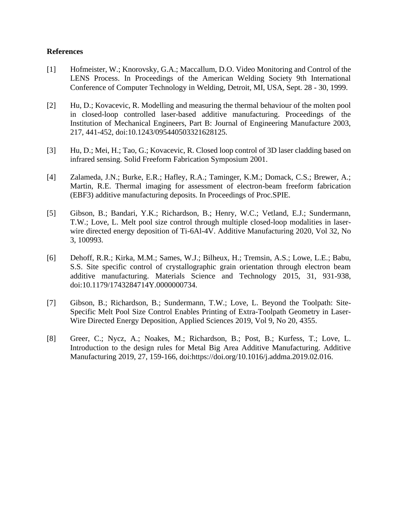### **References**

- [1] Hofmeister, W.; Knorovsky, G.A.; Maccallum, D.O. Video Monitoring and Control of the LENS Process. In Proceedings of the American Welding Society 9th International Conference of Computer Technology in Welding, Detroit, MI, USA, Sept. 28 - 30, 1999.
- [2] Hu, D.; Kovacevic, R. Modelling and measuring the thermal behaviour of the molten pool in closed-loop controlled laser-based additive manufacturing. Proceedings of the Institution of Mechanical Engineers, Part B: Journal of Engineering Manufacture 2003, 217, 441-452, doi:10.1243/095440503321628125.
- [3] Hu, D.; Mei, H.; Tao, G.; Kovacevic, R. Closed loop control of 3D laser cladding based on infrared sensing. Solid Freeform Fabrication Symposium 2001.
- [4] Zalameda, J.N.; Burke, E.R.; Hafley, R.A.; Taminger, K.M.; Domack, C.S.; Brewer, A.; Martin, R.E. Thermal imaging for assessment of electron-beam freeform fabrication (EBF3) additive manufacturing deposits. In Proceedings of Proc.SPIE.
- [5] Gibson, B.; Bandari, Y.K.; Richardson, B.; Henry, W.C.; Vetland, E.J.; Sundermann, T.W.; Love, L. Melt pool size control through multiple closed-loop modalities in laserwire directed energy deposition of Ti-6Al-4V. Additive Manufacturing 2020, Vol 32, No 3, 100993.
- [6] Dehoff, R.R.; Kirka, M.M.; Sames, W.J.; Bilheux, H.; Tremsin, A.S.; Lowe, L.E.; Babu, S.S. Site specific control of crystallographic grain orientation through electron beam additive manufacturing. Materials Science and Technology 2015, 31, 931-938, doi:10.1179/1743284714Y.0000000734.
- [7] Gibson, B.; Richardson, B.; Sundermann, T.W.; Love, L. Beyond the Toolpath: Site-Specific Melt Pool Size Control Enables Printing of Extra-Toolpath Geometry in Laser-Wire Directed Energy Deposition, Applied Sciences 2019, Vol 9, No 20, 4355.
- [8] Greer, C.; Nycz, A.; Noakes, M.; Richardson, B.; Post, B.; Kurfess, T.; Love, L. Introduction to the design rules for Metal Big Area Additive Manufacturing. Additive Manufacturing 2019, 27, 159-166, doi:https://doi.org/10.1016/j.addma.2019.02.016.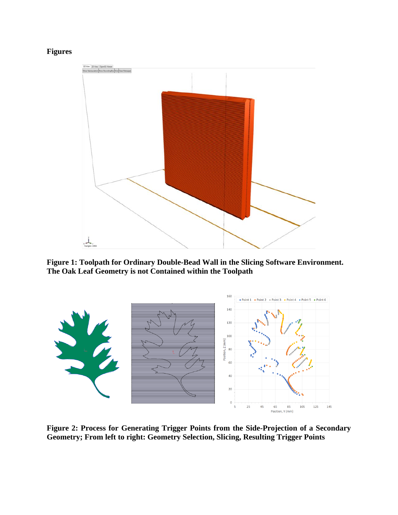# **Figures**



**Figure 1: Toolpath for Ordinary Double-Bead Wall in the Slicing Software Environment. The Oak Leaf Geometry is not Contained within the Toolpath**



**Figure 2: Process for Generating Trigger Points from the Side-Projection of a Secondary Geometry; From left to right: Geometry Selection, Slicing, Resulting Trigger Points**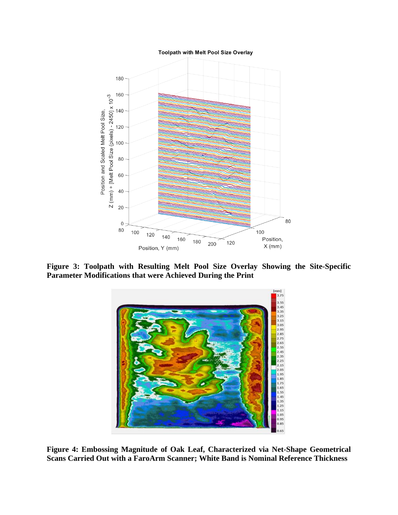Toolpath with Melt Pool Size Overlay



**Figure 3: Toolpath with Resulting Melt Pool Size Overlay Showing the Site-Specific Parameter Modifications that were Achieved During the Print**



**Figure 4: Embossing Magnitude of Oak Leaf, Characterized via Net-Shape Geometrical Scans Carried Out with a FaroArm Scanner; White Band is Nominal Reference Thickness**